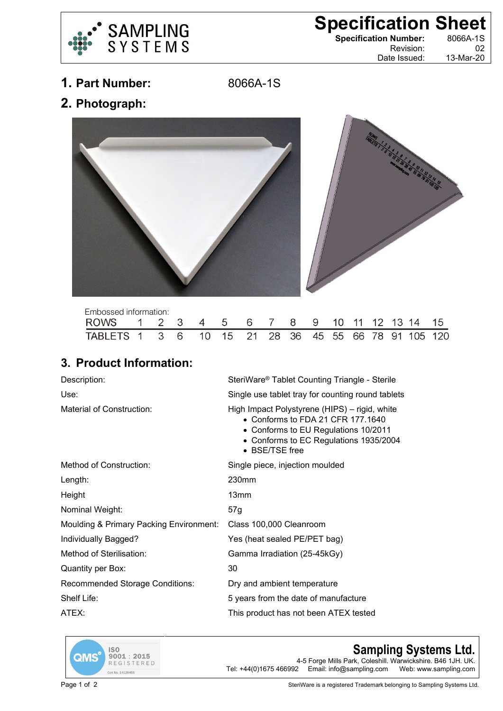

## **Specification Sheet**<br> **Specification Number:** 8066A-1S

**Specification Number:** 

Revision: 02 Date Issued: 13-Mar-20

**1. Part Number:** 8066A-1S

**2. Photograph:**



| Embossed information:                               |  |  |  |  |  |  |  |  |
|-----------------------------------------------------|--|--|--|--|--|--|--|--|
| ROWS 1 2 3 4 5 6 7 8 9 10 11 12 13 14 15            |  |  |  |  |  |  |  |  |
| TABLETS 1 3 6 10 15 21 28 36 45 55 66 78 91 105 120 |  |  |  |  |  |  |  |  |

## **3. Product Information:**

| Description:                            | SteriWare <sup>®</sup> Tablet Counting Triangle - Sterile                                                                                                                               |  |  |  |  |  |  |
|-----------------------------------------|-----------------------------------------------------------------------------------------------------------------------------------------------------------------------------------------|--|--|--|--|--|--|
| Use:                                    | Single use tablet tray for counting round tablets                                                                                                                                       |  |  |  |  |  |  |
| Material of Construction:               | High Impact Polystyrene (HIPS) – rigid, white<br>• Conforms to FDA 21 CFR 177, 1640<br>• Conforms to EU Regulations 10/2011<br>• Conforms to EC Regulations 1935/2004<br>• BSE/TSE free |  |  |  |  |  |  |
| Method of Construction:                 | Single piece, injection moulded                                                                                                                                                         |  |  |  |  |  |  |
| Length:                                 | 230mm                                                                                                                                                                                   |  |  |  |  |  |  |
| Height                                  | 13mm                                                                                                                                                                                    |  |  |  |  |  |  |
| Nominal Weight:                         | 57g                                                                                                                                                                                     |  |  |  |  |  |  |
| Moulding & Primary Packing Environment: | Class 100,000 Cleanroom                                                                                                                                                                 |  |  |  |  |  |  |
| Individually Bagged?                    | Yes (heat sealed PE/PET bag)                                                                                                                                                            |  |  |  |  |  |  |
| Method of Sterilisation:                | Gamma Irradiation (25-45kGy)                                                                                                                                                            |  |  |  |  |  |  |
| Quantity per Box:                       | 30                                                                                                                                                                                      |  |  |  |  |  |  |
| <b>Recommended Storage Conditions:</b>  | Dry and ambient temperature                                                                                                                                                             |  |  |  |  |  |  |
| Shelf Life:                             | 5 years from the date of manufacture                                                                                                                                                    |  |  |  |  |  |  |
| ATEX:                                   | This product has not been ATEX tested                                                                                                                                                   |  |  |  |  |  |  |



## **Sampling Systems Ltd.**

4-5 Forge Mills Park, Coleshill. Warwickshire. B46 1JH. UK.<br>Tel: +44(0)1675 466992 Email: info@sampling.com Web: www.sampling.com Email: info@sampling.com

Page 1 of 2 SteriWare is a registered Trademark belonging to Sampling Systems Ltd.